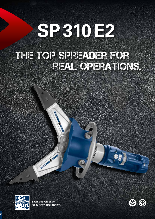# **SP310E2**

## The top spreader for real operations.

**LUITAS** 



**Scan this QR code for further information.**

**COVERED CARD COMPANY**